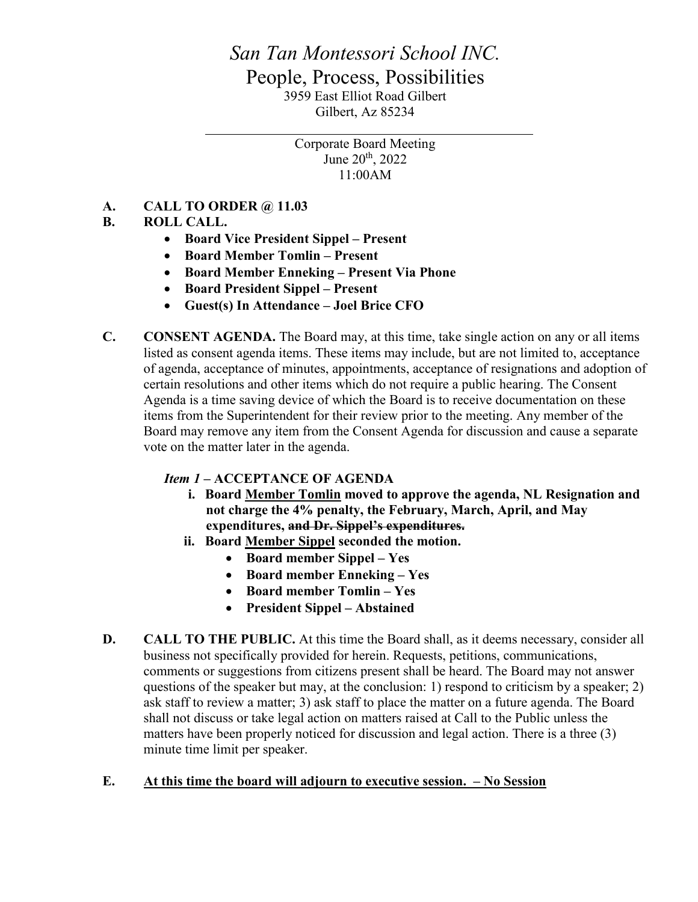# *San Tan Montessori School INC.* People, Process, Possibilities 3959 East Elliot Road Gilbert Gilbert, Az 85234

Corporate Board Meeting June 20th, 2022 11:00AM

## **A. CALL TO ORDER @ 11.03**

## **B. ROLL CALL.**

- **Board Vice President Sippel – Present**
- **Board Member Tomlin – Present**
- **Board Member Enneking – Present Via Phone**
- **Board President Sippel – Present**
- **Guest(s) In Attendance – Joel Brice CFO**
- **C. CONSENT AGENDA.** The Board may, at this time, take single action on any or all items listed as consent agenda items. These items may include, but are not limited to, acceptance of agenda, acceptance of minutes, appointments, acceptance of resignations and adoption of certain resolutions and other items which do not require a public hearing. The Consent Agenda is a time saving device of which the Board is to receive documentation on these items from the Superintendent for their review prior to the meeting. Any member of the Board may remove any item from the Consent Agenda for discussion and cause a separate vote on the matter later in the agenda.

#### *Item 1 –* **ACCEPTANCE OF AGENDA**

- **i. Board Member Tomlin moved to approve the agenda, NL Resignation and not charge the 4% penalty, the February, March, April, and May expenditures, and Dr. Sippel's expenditures.**
- **ii. Board Member Sippel seconded the motion.**
	- **Board member Sippel – Yes**
	- **Board member Enneking – Yes**
	- **Board member Tomlin – Yes**
	- **President Sippel – Abstained**
- **D. CALL TO THE PUBLIC.** At this time the Board shall, as it deems necessary, consider all business not specifically provided for herein. Requests, petitions, communications, comments or suggestions from citizens present shall be heard. The Board may not answer questions of the speaker but may, at the conclusion: 1) respond to criticism by a speaker; 2) ask staff to review a matter; 3) ask staff to place the matter on a future agenda. The Board shall not discuss or take legal action on matters raised at Call to the Public unless the matters have been properly noticed for discussion and legal action. There is a three (3) minute time limit per speaker.

#### **E. At this time the board will adjourn to executive session. – No Session**